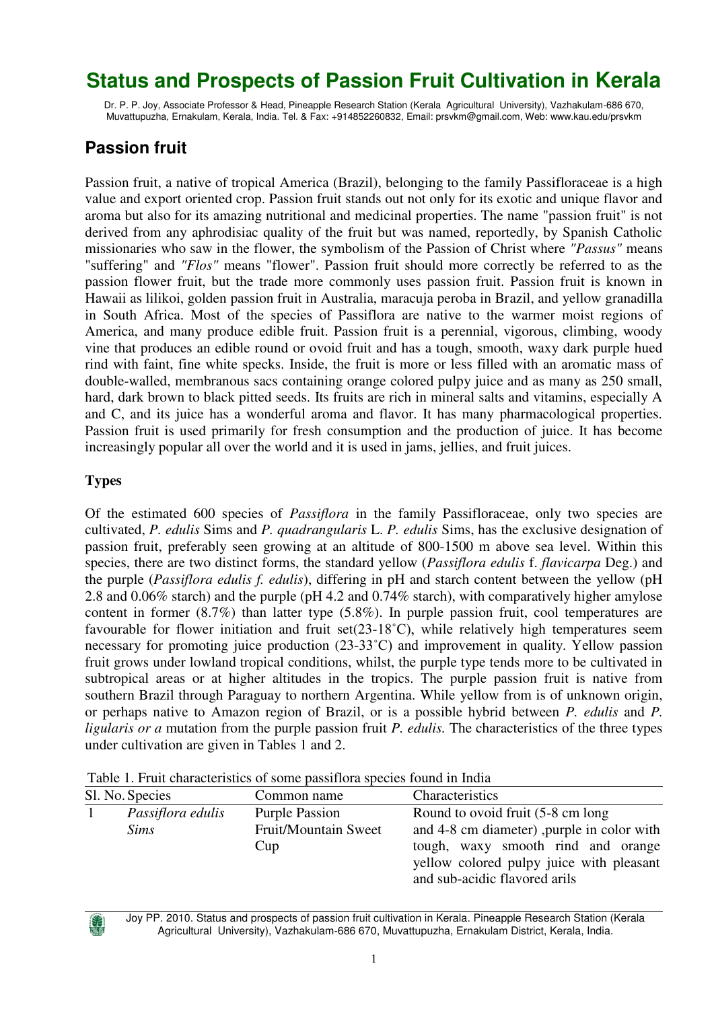# **Status and Prospects of Passion Fruit Cultivation in Kerala**

Dr. P. P. Joy, Associate Professor & Head, Pineapple Research Station (Kerala Agricultural University), Vazhakulam-686 670, Muvattupuzha, Ernakulam, Kerala, India. Tel. & Fax: +914852260832, Email: prsvkm@gmail.com, Web: www.kau.edu/prsvkm

## **Passion fruit**

Passion fruit, a native of tropical America (Brazil), belonging to the family Passifloraceae is a high value and export oriented crop. Passion fruit stands out not only for its exotic and unique flavor and aroma but also for its amazing nutritional and medicinal properties. The name "passion fruit" is not derived from any aphrodisiac quality of the fruit but was named, reportedly, by Spanish Catholic missionaries who saw in the flower, the symbolism of the Passion of Christ where *"Passus"* means "suffering" and *"Flos"* means "flower". Passion fruit should more correctly be referred to as the passion flower fruit, but the trade more commonly uses passion fruit. Passion fruit is known in Hawaii as lilikoi, golden passion fruit in Australia, maracuja peroba in Brazil, and yellow granadilla in South Africa. Most of the species of Passiflora are native to the warmer moist regions of America, and many produce edible fruit. Passion fruit is a perennial, vigorous, climbing, woody vine that produces an edible round or ovoid fruit and has a tough, smooth, waxy dark purple hued rind with faint, fine white specks. Inside, the fruit is more or less filled with an aromatic mass of double-walled, membranous sacs containing orange colored pulpy juice and as many as 250 small, hard, dark brown to black pitted seeds. Its fruits are rich in mineral salts and vitamins, especially A and C, and its juice has a wonderful aroma and flavor. It has many pharmacological properties. Passion fruit is used primarily for fresh consumption and the production of juice. It has become increasingly popular all over the world and it is used in jams, jellies, and fruit juices.

#### **Types**

Of the estimated 600 species of *Passiflora* in the family Passifloraceae, only two species are cultivated, *P. edulis* Sims and *P. quadrangularis* L. *P. edulis* Sims, has the exclusive designation of passion fruit, preferably seen growing at an altitude of 800-1500 m above sea level. Within this species, there are two distinct forms, the standard yellow (*Passiflora edulis* f. *flavicarpa* Deg.) and the purple (*Passiflora edulis f. edulis*), differing in pH and starch content between the yellow (pH 2.8 and 0.06% starch) and the purple (pH 4.2 and 0.74% starch), with comparatively higher amylose content in former (8.7%) than latter type (5.8%). In purple passion fruit, cool temperatures are favourable for flower initiation and fruit set(23-18˚C), while relatively high temperatures seem necessary for promoting juice production (23-33˚C) and improvement in quality. Yellow passion fruit grows under lowland tropical conditions, whilst, the purple type tends more to be cultivated in subtropical areas or at higher altitudes in the tropics. The purple passion fruit is native from southern Brazil through Paraguay to northern Argentina. While yellow from is of unknown origin, or perhaps native to Amazon region of Brazil, or is a possible hybrid between *P. edulis* and *P. ligularis or a* mutation from the purple passion fruit *P. edulis.* The characteristics of the three types under cultivation are given in Tables 1 and 2.

| Sl. No. Species                  | Common name                                          | Characteristics                                                                                                                                                                                    |
|----------------------------------|------------------------------------------------------|----------------------------------------------------------------------------------------------------------------------------------------------------------------------------------------------------|
| Passiflora edulis<br><i>Sims</i> | <b>Purple Passion</b><br>Fruit/Mountain Sweet<br>Cup | Round to ovoid fruit (5-8 cm long<br>and 4-8 cm diameter), purple in color with<br>tough, waxy smooth rind and orange<br>yellow colored pulpy juice with pleasant<br>and sub-acidic flavored arils |
|                                  |                                                      |                                                                                                                                                                                                    |

Table 1. Fruit characteristics of some passiflora species found in India



Joy PP. 2010. Status and prospects of passion fruit cultivation in Kerala. Pineapple Research Station (Kerala Agricultural University), Vazhakulam-686 670, Muvattupuzha, Ernakulam District, Kerala, India.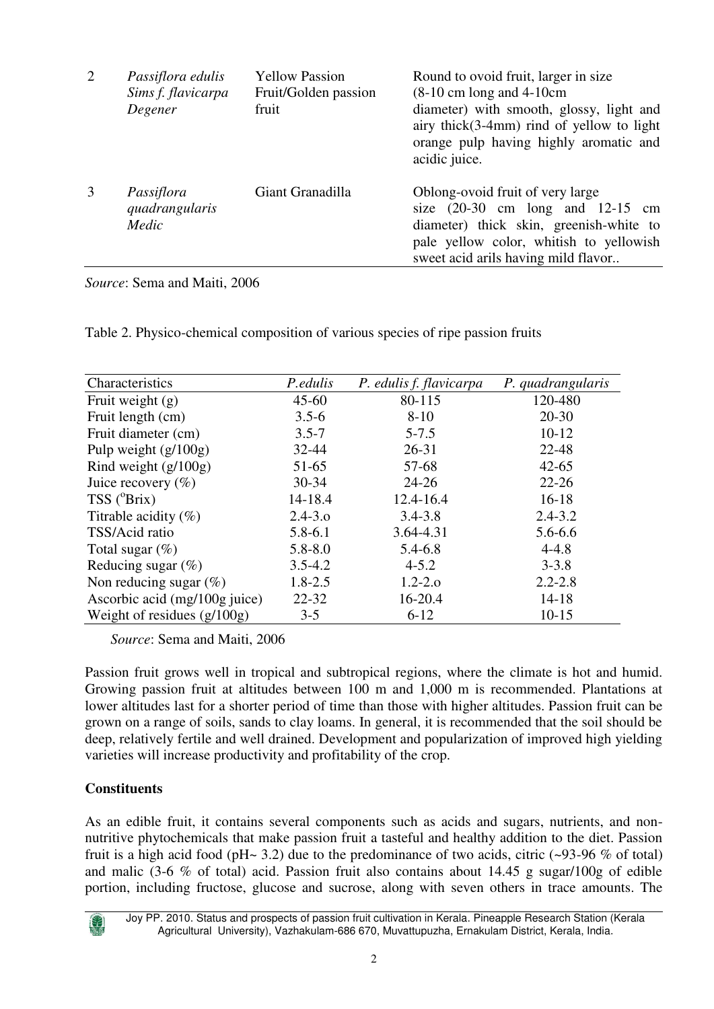| 2 | Passiflora edulis<br>Sims f. flavicarpa<br>Degener | <b>Yellow Passion</b><br>Fruit/Golden passion<br>fruit | Round to ovoid fruit, larger in size<br>$(8-10 \text{ cm} \log \text{ and } 4-10 \text{ cm})$<br>diameter) with smooth, glossy, light and<br>airy thick $(3-4mm)$ rind of yellow to light<br>orange pulp having highly aromatic and<br>acidic juice. |
|---|----------------------------------------------------|--------------------------------------------------------|------------------------------------------------------------------------------------------------------------------------------------------------------------------------------------------------------------------------------------------------------|
| 3 | Passiflora<br>quadrangularis<br>Medic              | Giant Granadilla                                       | Oblong-ovoid fruit of very large<br>size $(20-30 \text{ cm} \text{ long and } 12-15 \text{ cm})$<br>diameter) thick skin, greenish-white to<br>pale yellow color, whitish to yellowish<br>sweet acid arils having mild flavor                        |

*Source*: Sema and Maiti, 2006

Table 2. Physico-chemical composition of various species of ripe passion fruits

| Characteristics               | P.edulis    | P. edulis f. flavicarpa | P. quadrangularis |
|-------------------------------|-------------|-------------------------|-------------------|
| Fruit weight $(g)$            | $45 - 60$   | 80-115                  | 120-480           |
| Fruit length (cm)             | $3.5 - 6$   | $8 - 10$                | $20 - 30$         |
| Fruit diameter (cm)           | $3.5 - 7$   | $5 - 7.5$               | $10-12$           |
| Pulp weight $(g/100g)$        | 32-44       | $26 - 31$               | 22-48             |
| Rind weight $(g/100g)$        | 51-65       | 57-68                   | $42 - 65$         |
| Juice recovery $(\%)$         | $30 - 34$   | $24 - 26$               | $22 - 26$         |
| $TSS$ ( ${}^{\circ}Brix$ )    | 14-18.4     | 12.4-16.4               | $16-18$           |
| Titrable acidity $(\%)$       | $2.4 - 3.0$ | $3.4 - 3.8$             | $2.4 - 3.2$       |
| TSS/Acid ratio                | $5.8 - 6.1$ | 3.64-4.31               | $5.6 - 6.6$       |
| Total sugar $(\%)$            | $5.8 - 8.0$ | 5.4-6.8                 | $4 - 4.8$         |
| Reducing sugar $(\%)$         | $3.5 - 4.2$ | $4 - 5.2$               | $3 - 3.8$         |
| Non reducing sugar $(\%)$     | $1.8 - 2.5$ | $1.2 - 2.0$             | $2.2 - 2.8$       |
| Ascorbic acid (mg/100g juice) | $22 - 32$   | 16-20.4                 | $14 - 18$         |
| Weight of residues $(g/100g)$ | $3 - 5$     | $6 - 12$                | $10 - 15$         |

*Source*: Sema and Maiti, 2006

Passion fruit grows well in tropical and subtropical regions, where the climate is hot and humid. Growing passion fruit at altitudes between 100 m and 1,000 m is recommended. Plantations at lower altitudes last for a shorter period of time than those with higher altitudes. Passion fruit can be grown on a range of soils, sands to clay loams. In general, it is recommended that the soil should be deep, relatively fertile and well drained. Development and popularization of improved high yielding varieties will increase productivity and profitability of the crop.

#### **Constituents**

As an edible fruit, it contains several components such as acids and sugars, nutrients, and nonnutritive phytochemicals that make passion fruit a tasteful and healthy addition to the diet. Passion fruit is a high acid food (pH $\sim$  3.2) due to the predominance of two acids, citric ( $\sim$ 93-96 % of total) and malic (3-6 % of total) acid. Passion fruit also contains about 14.45 g sugar/100g of edible portion, including fructose, glucose and sucrose, along with seven others in trace amounts. The

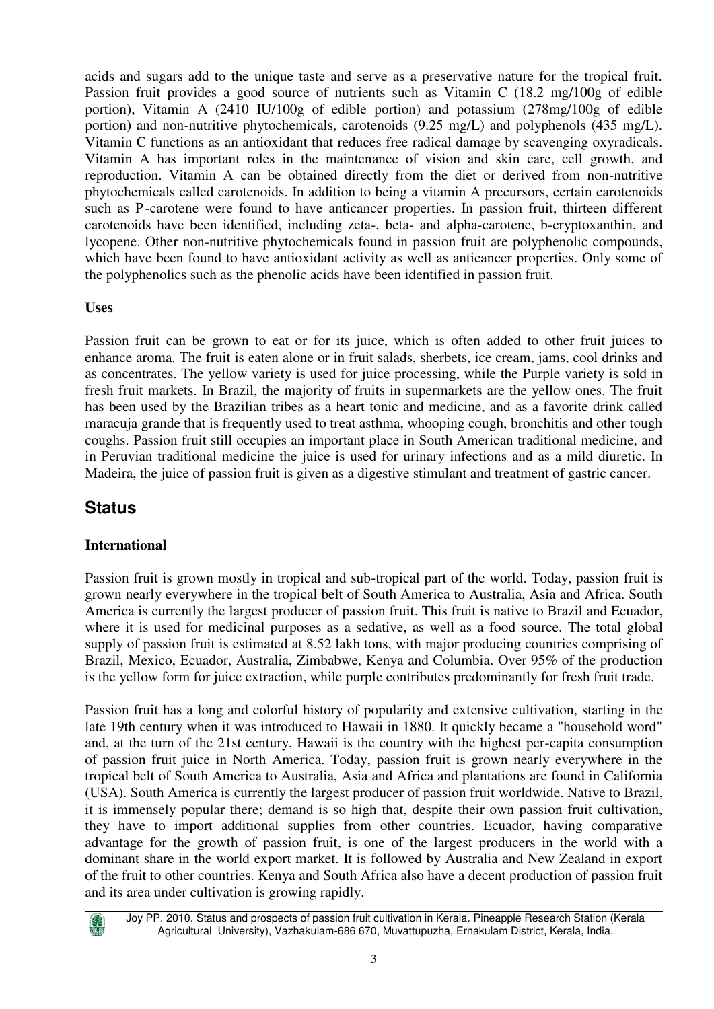acids and sugars add to the unique taste and serve as a preservative nature for the tropical fruit. Passion fruit provides a good source of nutrients such as Vitamin C (18.2 mg/100g of edible portion), Vitamin A (2410 IU/100g of edible portion) and potassium (278mg/100g of edible portion) and non-nutritive phytochemicals, carotenoids (9.25 mg/L) and polyphenols (435 mg/L). Vitamin C functions as an antioxidant that reduces free radical damage by scavenging oxyradicals. Vitamin A has important roles in the maintenance of vision and skin care, cell growth, and reproduction. Vitamin A can be obtained directly from the diet or derived from non-nutritive phytochemicals called carotenoids. In addition to being a vitamin A precursors, certain carotenoids such as P -carotene were found to have anticancer properties. In passion fruit, thirteen different carotenoids have been identified, including zeta-, beta- and alpha-carotene, b-cryptoxanthin, and lycopene. Other non-nutritive phytochemicals found in passion fruit are polyphenolic compounds, which have been found to have antioxidant activity as well as anticancer properties. Only some of the polyphenolics such as the phenolic acids have been identified in passion fruit.

#### **Uses**

Passion fruit can be grown to eat or for its juice, which is often added to other fruit juices to enhance aroma. The fruit is eaten alone or in fruit salads, sherbets, ice cream, jams, cool drinks and as concentrates. The yellow variety is used for juice processing, while the Purple variety is sold in fresh fruit markets. In Brazil, the majority of fruits in supermarkets are the yellow ones. The fruit has been used by the Brazilian tribes as a heart tonic and medicine, and as a favorite drink called maracuja grande that is frequently used to treat asthma, whooping cough, bronchitis and other tough coughs. Passion fruit still occupies an important place in South American traditional medicine, and in Peruvian traditional medicine the juice is used for urinary infections and as a mild diuretic. In Madeira, the juice of passion fruit is given as a digestive stimulant and treatment of gastric cancer.

### **Status**

### **International**

Passion fruit is grown mostly in tropical and sub-tropical part of the world. Today, passion fruit is grown nearly everywhere in the tropical belt of South America to Australia, Asia and Africa. South America is currently the largest producer of passion fruit. This fruit is native to Brazil and Ecuador, where it is used for medicinal purposes as a sedative, as well as a food source. The total global supply of passion fruit is estimated at 8.52 lakh tons, with major producing countries comprising of Brazil, Mexico, Ecuador, Australia, Zimbabwe, Kenya and Columbia. Over 95% of the production is the yellow form for juice extraction, while purple contributes predominantly for fresh fruit trade.

Passion fruit has a long and colorful history of popularity and extensive cultivation, starting in the late 19th century when it was introduced to Hawaii in 1880. It quickly became a "household word" and, at the turn of the 21st century, Hawaii is the country with the highest per-capita consumption of passion fruit juice in North America. Today, passion fruit is grown nearly everywhere in the tropical belt of South America to Australia, Asia and Africa and plantations are found in California (USA). South America is currently the largest producer of passion fruit worldwide. Native to Brazil, it is immensely popular there; demand is so high that, despite their own passion fruit cultivation, they have to import additional supplies from other countries. Ecuador, having comparative advantage for the growth of passion fruit, is one of the largest producers in the world with a dominant share in the world export market. It is followed by Australia and New Zealand in export of the fruit to other countries. Kenya and South Africa also have a decent production of passion fruit and its area under cultivation is growing rapidly.



Joy PP. 2010. Status and prospects of passion fruit cultivation in Kerala. Pineapple Research Station (Kerala Agricultural University), Vazhakulam-686 670, Muvattupuzha, Ernakulam District, Kerala, India.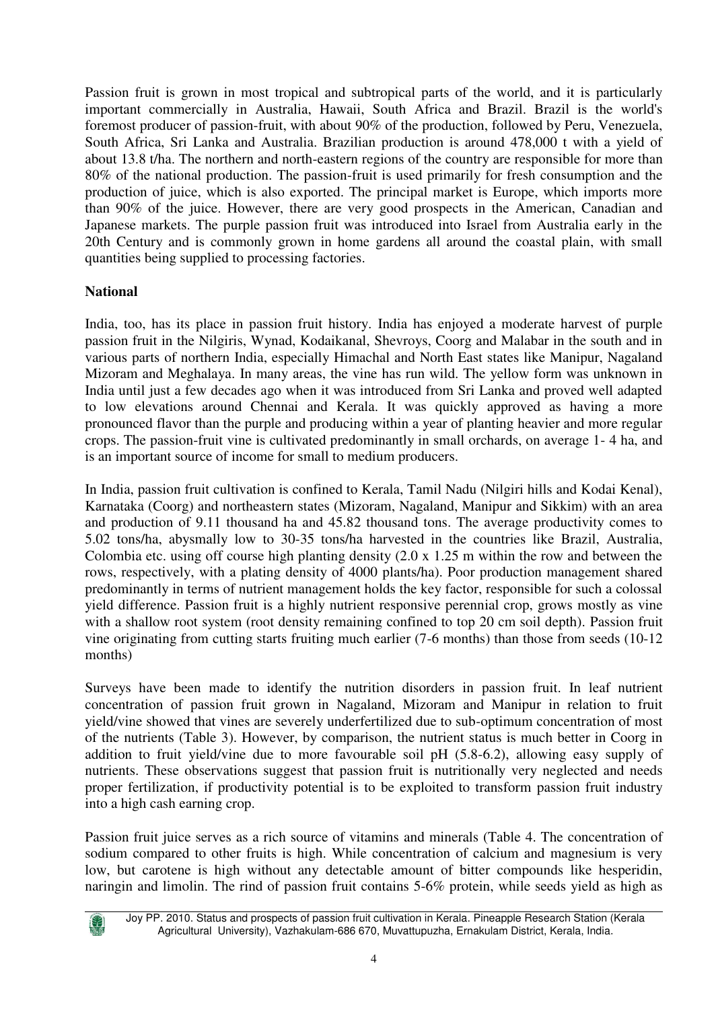Passion fruit is grown in most tropical and subtropical parts of the world, and it is particularly important commercially in Australia, Hawaii, South Africa and Brazil. Brazil is the world's foremost producer of passion-fruit, with about 90% of the production, followed by Peru, Venezuela, South Africa, Sri Lanka and Australia. Brazilian production is around 478,000 t with a yield of about 13.8 t/ha. The northern and north-eastern regions of the country are responsible for more than 80% of the national production. The passion-fruit is used primarily for fresh consumption and the production of juice, which is also exported. The principal market is Europe, which imports more than 90% of the juice. However, there are very good prospects in the American, Canadian and Japanese markets. The purple passion fruit was introduced into Israel from Australia early in the 20th Century and is commonly grown in home gardens all around the coastal plain, with small quantities being supplied to processing factories.

#### **National**

India, too, has its place in passion fruit history. India has enjoyed a moderate harvest of purple passion fruit in the Nilgiris, Wynad, Kodaikanal, Shevroys, Coorg and Malabar in the south and in various parts of northern India, especially Himachal and North East states like Manipur, Nagaland Mizoram and Meghalaya. In many areas, the vine has run wild. The yellow form was unknown in India until just a few decades ago when it was introduced from Sri Lanka and proved well adapted to low elevations around Chennai and Kerala. It was quickly approved as having a more pronounced flavor than the purple and producing within a year of planting heavier and more regular crops. The passion-fruit vine is cultivated predominantly in small orchards, on average 1- 4 ha, and is an important source of income for small to medium producers.

In India, passion fruit cultivation is confined to Kerala, Tamil Nadu (Nilgiri hills and Kodai Kenal), Karnataka (Coorg) and northeastern states (Mizoram, Nagaland, Manipur and Sikkim) with an area and production of 9.11 thousand ha and 45.82 thousand tons. The average productivity comes to 5.02 tons/ha, abysmally low to 30-35 tons/ha harvested in the countries like Brazil, Australia, Colombia etc. using off course high planting density (2.0 x 1.25 m within the row and between the rows, respectively, with a plating density of 4000 plants/ha). Poor production management shared predominantly in terms of nutrient management holds the key factor, responsible for such a colossal yield difference. Passion fruit is a highly nutrient responsive perennial crop, grows mostly as vine with a shallow root system (root density remaining confined to top 20 cm soil depth). Passion fruit vine originating from cutting starts fruiting much earlier (7-6 months) than those from seeds (10-12 months)

Surveys have been made to identify the nutrition disorders in passion fruit. In leaf nutrient concentration of passion fruit grown in Nagaland, Mizoram and Manipur in relation to fruit yield/vine showed that vines are severely underfertilized due to sub-optimum concentration of most of the nutrients (Table 3). However, by comparison, the nutrient status is much better in Coorg in addition to fruit yield/vine due to more favourable soil pH (5.8-6.2), allowing easy supply of nutrients. These observations suggest that passion fruit is nutritionally very neglected and needs proper fertilization, if productivity potential is to be exploited to transform passion fruit industry into a high cash earning crop.

Passion fruit juice serves as a rich source of vitamins and minerals (Table 4. The concentration of sodium compared to other fruits is high. While concentration of calcium and magnesium is very low, but carotene is high without any detectable amount of bitter compounds like hesperidin, naringin and limolin. The rind of passion fruit contains 5-6% protein, while seeds yield as high as

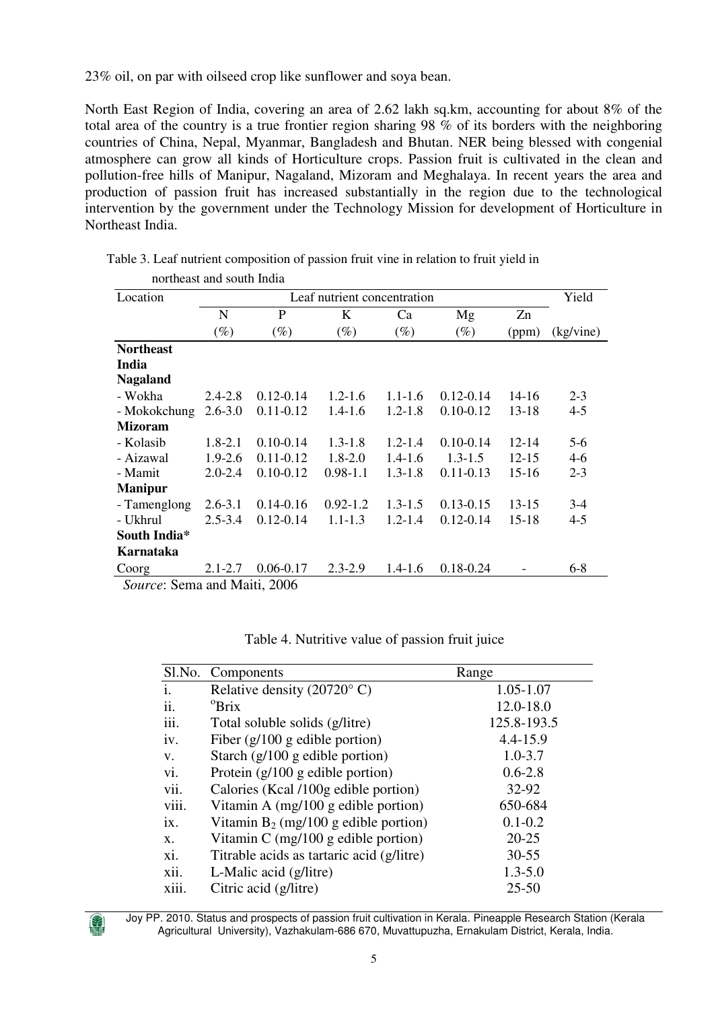23% oil, on par with oilseed crop like sunflower and soya bean.

North East Region of India, covering an area of 2.62 lakh sq.km, accounting for about 8% of the total area of the country is a true frontier region sharing 98 % of its borders with the neighboring countries of China, Nepal, Myanmar, Bangladesh and Bhutan. NER being blessed with congenial atmosphere can grow all kinds of Horticulture crops. Passion fruit is cultivated in the clean and pollution-free hills of Manipur, Nagaland, Mizoram and Meghalaya. In recent years the area and production of passion fruit has increased substantially in the region due to the technological intervention by the government under the Technology Mission for development of Horticulture in Northeast India.

| northeast and south India |             |               |              |             |               |           |           |  |  |
|---------------------------|-------------|---------------|--------------|-------------|---------------|-----------|-----------|--|--|
| Location                  |             |               | Yield        |             |               |           |           |  |  |
|                           | N           | P             | K            | Ca          | Mg            | Zn        |           |  |  |
|                           | $(\%)$      | $(\%)$        | $(\%)$       | $(\%)$      | $(\%)$        | (ppm)     | (kg/vine) |  |  |
| <b>Northeast</b>          |             |               |              |             |               |           |           |  |  |
| India                     |             |               |              |             |               |           |           |  |  |
| <b>Nagaland</b>           |             |               |              |             |               |           |           |  |  |
| - Wokha                   | $2.4 - 2.8$ | $0.12 - 0.14$ | $1.2 - 1.6$  | $1.1 - 1.6$ | $0.12 - 0.14$ | 14-16     | $2 - 3$   |  |  |
| - Mokokchung              | $2.6 - 3.0$ | $0.11 - 0.12$ | $1.4 - 1.6$  | $1.2 - 1.8$ | $0.10 - 0.12$ | 13-18     | $4 - 5$   |  |  |
| <b>Mizoram</b>            |             |               |              |             |               |           |           |  |  |
| - Kolasib                 | $1.8 - 2.1$ | $0.10 - 0.14$ | $1.3 - 1.8$  | $1.2 - 1.4$ | $0.10 - 0.14$ | $12 - 14$ | $5-6$     |  |  |
| - Aizawal                 | $1.9 - 2.6$ | $0.11 - 0.12$ | $1.8 - 2.0$  | $1.4 - 1.6$ | $1.3 - 1.5$   | $12 - 15$ | $4-6$     |  |  |
| - Mamit                   | $2.0 - 2.4$ | $0.10 - 0.12$ | $0.98 - 1.1$ | $1.3 - 1.8$ | $0.11 - 0.13$ | $15-16$   | $2 - 3$   |  |  |
| <b>Manipur</b>            |             |               |              |             |               |           |           |  |  |
| - Tamenglong              | $2.6 - 3.1$ | $0.14 - 0.16$ | $0.92 - 1.2$ | $1.3 - 1.5$ | $0.13 - 0.15$ | $13 - 15$ | $3-4$     |  |  |
| - Ukhrul                  | $2.5 - 3.4$ | $0.12 - 0.14$ | $1.1 - 1.3$  | $1.2 - 1.4$ | $0.12 - 0.14$ | 15-18     | $4 - 5$   |  |  |
| South India*              |             |               |              |             |               |           |           |  |  |
| Karnataka                 |             |               |              |             |               |           |           |  |  |
| Coorg                     | $2.1 - 2.7$ | $0.06 - 0.17$ | $2.3 - 2.9$  | $1.4 - 1.6$ | $0.18 - 0.24$ |           | $6 - 8$   |  |  |

Table 3. Leaf nutrient composition of passion fruit vine in relation to fruit yield in

*Source*: Sema and Maiti, 2006

| Sl.No. | Components                                | Range        |
|--------|-------------------------------------------|--------------|
| i.     | Relative density (20720 $\degree$ C)      | 1.05-1.07    |
| ii.    | $^{\circ}$ Brix                           | 12.0-18.0    |
| iii.   | Total soluble solids (g/litre)            | 125.8-193.5  |
| iv.    | Fiber $(g/100 g$ edible portion)          | $4.4 - 15.9$ |
| V.     | Starch $(g/100 g$ edible portion)         | $1.0 - 3.7$  |
| vi.    | Protein $(g/100 g$ edible portion)        | $0.6 - 2.8$  |
| vii.   | Calories (Kcal /100g edible portion)      | 32-92        |
| viii.  | Vitamin A $(mg/100 g$ edible portion)     | 650-684      |
| ix.    | Vitamin $B_2$ (mg/100 g edible portion)   | $0.1 - 0.2$  |
| X.     | Vitamin C $(mg/100 g$ edible portion)     | $20 - 25$    |
| xi.    | Titrable acids as tartaric acid (g/litre) | $30 - 55$    |
| xii.   | L-Malic acid (g/litre)                    | $1.3 - 5.0$  |
| xiii.  | Citric acid (g/litre)                     | $25 - 50$    |

Table 4. Nutritive value of passion fruit juice

Joy PP. 2010. Status and prospects of passion fruit cultivation in Kerala. Pineapple Research Station (Kerala Agricultural University), Vazhakulam-686 670, Muvattupuzha, Ernakulam District, Kerala, India.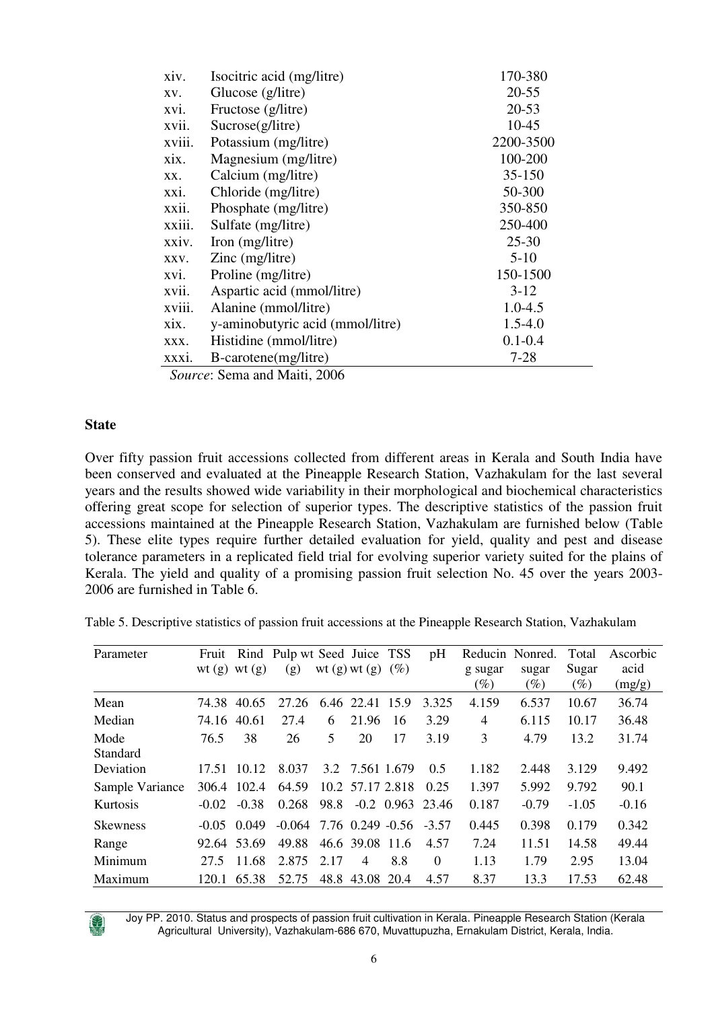| xiv.   | Isocitric acid (mg/litre)        | 170-380     |
|--------|----------------------------------|-------------|
| XV.    | Glucose (g/litre)                | $20 - 55$   |
| xvi.   | Fructose (g/litre)               | $20 - 53$   |
| xvii.  | Sucrose(g/litre)                 | $10 - 45$   |
| xviii. | Potassium (mg/litre)             | 2200-3500   |
| xix.   | Magnesium (mg/litre)             | 100-200     |
| XX.    | Calcium (mg/litre)               | 35-150      |
| xxi.   | Chloride (mg/litre)              | 50-300      |
| xxii.  | Phosphate (mg/litre)             | 350-850     |
| xxiii. | Sulfate (mg/litre)               | 250-400     |
| xxiv.  | Iron (mg/litre)                  | $25 - 30$   |
| XXV.   | $\text{Zinc}$ (mg/litre)         | $5-10$      |
| xvi.   | Proline (mg/litre)               | 150-1500    |
| xvii.  | Aspartic acid (mmol/litre)       | $3-12$      |
| xviii. | Alanine (mmol/litre)             | $1.0 - 4.5$ |
| XIX.   | y-aminobutyric acid (mmol/litre) | $1.5 - 4.0$ |
| XXX.   | Histidine (mmol/litre)           | $0.1 - 0.4$ |
| XXX1.  | B-carotene(mg/litre)             | $7 - 28$    |
|        |                                  |             |

*Source*: Sema and Maiti, 2006

#### **State**

Over fifty passion fruit accessions collected from different areas in Kerala and South India have been conserved and evaluated at the Pineapple Research Station, Vazhakulam for the last several years and the results showed wide variability in their morphological and biochemical characteristics offering great scope for selection of superior types. The descriptive statistics of the passion fruit accessions maintained at the Pineapple Research Station, Vazhakulam are furnished below (Table 5). These elite types require further detailed evaluation for yield, quality and pest and disease tolerance parameters in a replicated field trial for evolving superior variety suited for the plains of Kerala. The yield and quality of a promising passion fruit selection No. 45 over the years 2003- 2006 are furnished in Table 6.

| Table 5. Descriptive statistics of passion fruit accessions at the Pineapple Research Station, Vazhakulam |  |  |  |  |  |  |
|-----------------------------------------------------------------------------------------------------------|--|--|--|--|--|--|
|-----------------------------------------------------------------------------------------------------------|--|--|--|--|--|--|

| Parameter        | Fruit   | wt $(g)$ wt $(g)$ | Rind Pulp wt Seed Juice TSS<br>(g) |      | wt $(g)$ wt $(g)$      | $(\%)$ | pH                 | Reducin Nonred.<br>g sugar<br>$(\%)$ | sugar<br>$(\%)$ | Total<br>Sugar<br>$(\%)$ | Ascorbic<br>acid<br>(mg/g) |
|------------------|---------|-------------------|------------------------------------|------|------------------------|--------|--------------------|--------------------------------------|-----------------|--------------------------|----------------------------|
| Mean             | 74.38   | 40.65             | 27.26                              |      | 6.46 22.41 15.9        |        | 3.325              | 4.159                                | 6.537           | 10.67                    | 36.74                      |
| Median           | 74.16   | 40.61             | 27.4                               | 6    | 21.96                  | 16     | 3.29               | 4                                    | 6.115           | 10.17                    | 36.48                      |
| Mode<br>Standard | 76.5    | 38                | 26                                 | 5    | 20                     | 17     | 3.19               | 3                                    | 4.79            | 13.2                     | 31.74                      |
| Deviation        | 17.51   | 10.12             | 8.037                              |      | 3.2 7.561 1.679        |        | 0.5                | 1.182                                | 2.448           | 3.129                    | 9.492                      |
| Sample Variance  | 306.4   | 102.4             | 64.59                              |      | 10.2 57.17 2.818       |        | 0.25               | 1.397                                | 5.992           | 9.792                    | 90.1                       |
| Kurtosis         | $-0.02$ | $-0.38$           | 0.268                              | 98.8 |                        |        | $-0.2$ 0.963 23.46 | 0.187                                | $-0.79$         | $-1.05$                  | $-0.16$                    |
| <b>Skewness</b>  | $-0.05$ | 0.049             | $-0.064$                           |      | 7.76 0.249 -0.56 -3.57 |        |                    | 0.445                                | 0.398           | 0.179                    | 0.342                      |
| Range            | 92.64   | 53.69             | 49.88                              |      | 46.6 39.08 11.6        |        | 4.57               | 7.24                                 | 11.51           | 14.58                    | 49.44                      |
| Minimum          | 27.5    | 11.68             | 2.875                              | 2.17 | $\overline{4}$         | 8.8    | $\Omega$           | 1.13                                 | 1.79            | 2.95                     | 13.04                      |
| Maximum          | 120.1   | 65.38             | 52.75                              |      | 48.8 43.08             | 20.4   | 4.57               | 8.37                                 | 13.3            | 17.53                    | 62.48                      |

Joy PP. 2010. Status and prospects of passion fruit cultivation in Kerala. Pineapple Research Station (Kerala Agricultural University), Vazhakulam-686 670, Muvattupuzha, Ernakulam District, Kerala, India.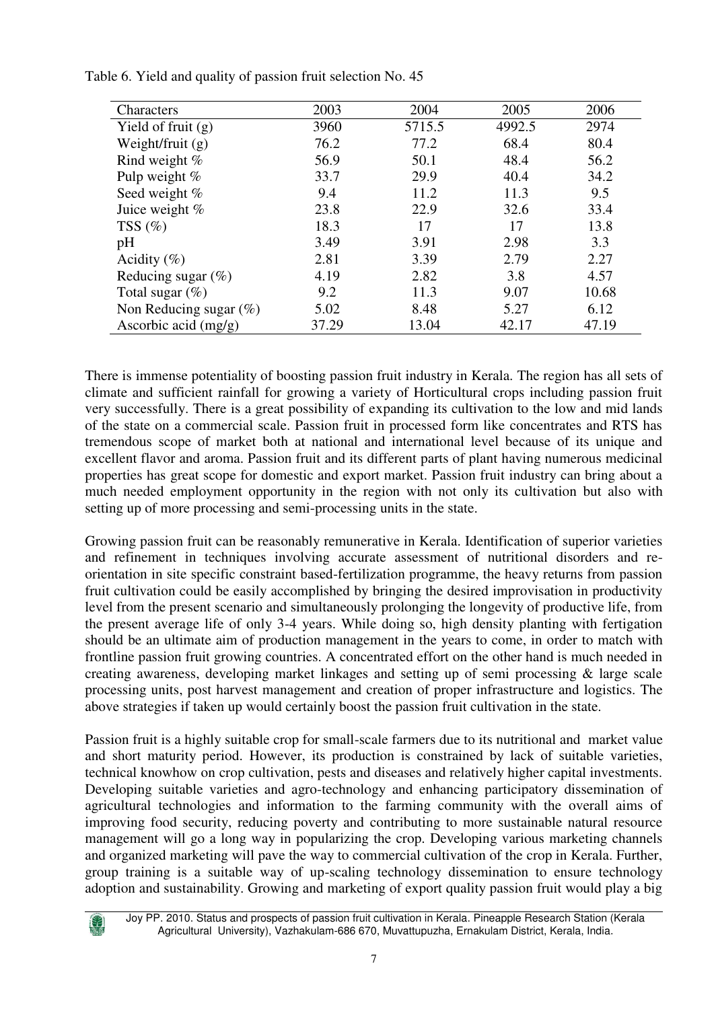| Characters                | 2003  | 2004   | 2005   | 2006  |
|---------------------------|-------|--------|--------|-------|
| Yield of fruit $(g)$      | 3960  | 5715.5 | 4992.5 | 2974  |
| Weight/fruit $(g)$        | 76.2  | 77.2   | 68.4   | 80.4  |
| Rind weight %             | 56.9  | 50.1   | 48.4   | 56.2  |
| Pulp weight %             | 33.7  | 29.9   | 40.4   | 34.2  |
| Seed weight %             | 9.4   | 11.2   | 11.3   | 9.5   |
| Juice weight %            | 23.8  | 22.9   | 32.6   | 33.4  |
| TSS $(\%)$                | 18.3  | 17     | 17     | 13.8  |
| pH                        | 3.49  | 3.91   | 2.98   | 3.3   |
| Acidity $(\% )$           | 2.81  | 3.39   | 2.79   | 2.27  |
| Reducing sugar $(\%)$     | 4.19  | 2.82   | 3.8    | 4.57  |
| Total sugar $(\%)$        | 9.2   | 11.3   | 9.07   | 10.68 |
| Non Reducing sugar $(\%)$ | 5.02  | 8.48   | 5.27   | 6.12  |
| Ascorbic acid $(mg/g)$    | 37.29 | 13.04  | 42.17  | 47.19 |

Table 6. Yield and quality of passion fruit selection No. 45

There is immense potentiality of boosting passion fruit industry in Kerala. The region has all sets of climate and sufficient rainfall for growing a variety of Horticultural crops including passion fruit very successfully. There is a great possibility of expanding its cultivation to the low and mid lands of the state on a commercial scale. Passion fruit in processed form like concentrates and RTS has tremendous scope of market both at national and international level because of its unique and excellent flavor and aroma. Passion fruit and its different parts of plant having numerous medicinal properties has great scope for domestic and export market. Passion fruit industry can bring about a much needed employment opportunity in the region with not only its cultivation but also with setting up of more processing and semi-processing units in the state.

Growing passion fruit can be reasonably remunerative in Kerala. Identification of superior varieties and refinement in techniques involving accurate assessment of nutritional disorders and reorientation in site specific constraint based-fertilization programme, the heavy returns from passion fruit cultivation could be easily accomplished by bringing the desired improvisation in productivity level from the present scenario and simultaneously prolonging the longevity of productive life, from the present average life of only 3-4 years. While doing so, high density planting with fertigation should be an ultimate aim of production management in the years to come, in order to match with frontline passion fruit growing countries. A concentrated effort on the other hand is much needed in creating awareness, developing market linkages and setting up of semi processing  $\&$  large scale processing units, post harvest management and creation of proper infrastructure and logistics. The above strategies if taken up would certainly boost the passion fruit cultivation in the state.

Passion fruit is a highly suitable crop for small-scale farmers due to its nutritional and market value and short maturity period. However, its production is constrained by lack of suitable varieties, technical knowhow on crop cultivation, pests and diseases and relatively higher capital investments. Developing suitable varieties and agro-technology and enhancing participatory dissemination of agricultural technologies and information to the farming community with the overall aims of improving food security, reducing poverty and contributing to more sustainable natural resource management will go a long way in popularizing the crop. Developing various marketing channels and organized marketing will pave the way to commercial cultivation of the crop in Kerala. Further, group training is a suitable way of up-scaling technology dissemination to ensure technology adoption and sustainability. Growing and marketing of export quality passion fruit would play a big

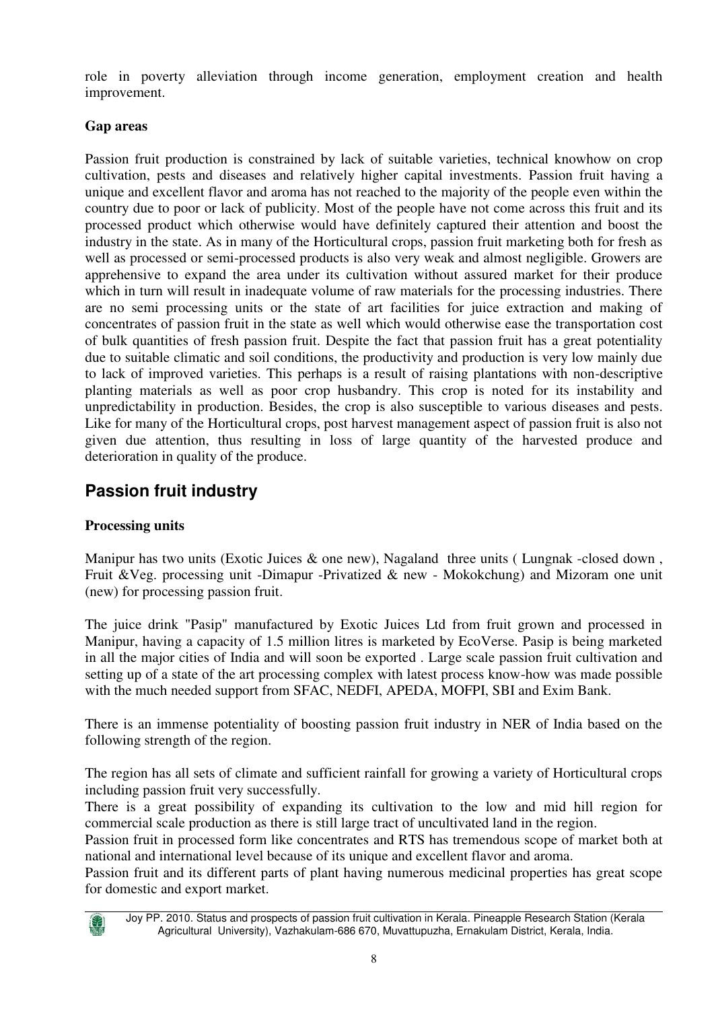role in poverty alleviation through income generation, employment creation and health improvement.

### **Gap areas**

Passion fruit production is constrained by lack of suitable varieties, technical knowhow on crop cultivation, pests and diseases and relatively higher capital investments. Passion fruit having a unique and excellent flavor and aroma has not reached to the majority of the people even within the country due to poor or lack of publicity. Most of the people have not come across this fruit and its processed product which otherwise would have definitely captured their attention and boost the industry in the state. As in many of the Horticultural crops, passion fruit marketing both for fresh as well as processed or semi-processed products is also very weak and almost negligible. Growers are apprehensive to expand the area under its cultivation without assured market for their produce which in turn will result in inadequate volume of raw materials for the processing industries. There are no semi processing units or the state of art facilities for juice extraction and making of concentrates of passion fruit in the state as well which would otherwise ease the transportation cost of bulk quantities of fresh passion fruit. Despite the fact that passion fruit has a great potentiality due to suitable climatic and soil conditions, the productivity and production is very low mainly due to lack of improved varieties. This perhaps is a result of raising plantations with non-descriptive planting materials as well as poor crop husbandry. This crop is noted for its instability and unpredictability in production. Besides, the crop is also susceptible to various diseases and pests. Like for many of the Horticultural crops, post harvest management aspect of passion fruit is also not given due attention, thus resulting in loss of large quantity of the harvested produce and deterioration in quality of the produce.

# **Passion fruit industry**

### **Processing units**

Manipur has two units (Exotic Juices & one new), Nagaland three units (Lungnak -closed down, Fruit &Veg. processing unit -Dimapur -Privatized & new - Mokokchung) and Mizoram one unit (new) for processing passion fruit.

The juice drink "Pasip" manufactured by Exotic Juices Ltd from fruit grown and processed in Manipur, having a capacity of 1.5 million litres is marketed by EcoVerse. Pasip is being marketed in all the major cities of India and will soon be exported . Large scale passion fruit cultivation and setting up of a state of the art processing complex with latest process know-how was made possible with the much needed support from SFAC, NEDFI, APEDA, MOFPI, SBI and Exim Bank.

There is an immense potentiality of boosting passion fruit industry in NER of India based on the following strength of the region.

The region has all sets of climate and sufficient rainfall for growing a variety of Horticultural crops including passion fruit very successfully.

There is a great possibility of expanding its cultivation to the low and mid hill region for commercial scale production as there is still large tract of uncultivated land in the region.

Passion fruit in processed form like concentrates and RTS has tremendous scope of market both at national and international level because of its unique and excellent flavor and aroma.

Passion fruit and its different parts of plant having numerous medicinal properties has great scope for domestic and export market.



Joy PP. 2010. Status and prospects of passion fruit cultivation in Kerala. Pineapple Research Station (Kerala Agricultural University), Vazhakulam-686 670, Muvattupuzha, Ernakulam District, Kerala, India.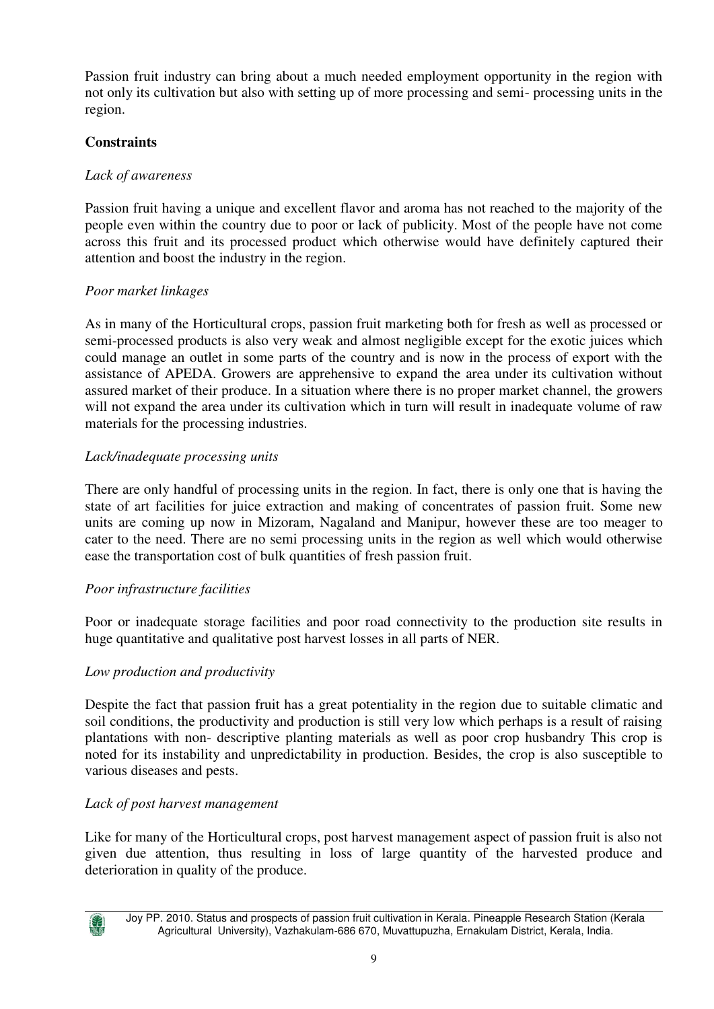Passion fruit industry can bring about a much needed employment opportunity in the region with not only its cultivation but also with setting up of more processing and semi- processing units in the region.

#### **Constraints**

#### *Lack of awareness*

Passion fruit having a unique and excellent flavor and aroma has not reached to the majority of the people even within the country due to poor or lack of publicity. Most of the people have not come across this fruit and its processed product which otherwise would have definitely captured their attention and boost the industry in the region.

#### *Poor market linkages*

As in many of the Horticultural crops, passion fruit marketing both for fresh as well as processed or semi-processed products is also very weak and almost negligible except for the exotic juices which could manage an outlet in some parts of the country and is now in the process of export with the assistance of APEDA. Growers are apprehensive to expand the area under its cultivation without assured market of their produce. In a situation where there is no proper market channel, the growers will not expand the area under its cultivation which in turn will result in inadequate volume of raw materials for the processing industries.

#### *Lack/inadequate processing units*

There are only handful of processing units in the region. In fact, there is only one that is having the state of art facilities for juice extraction and making of concentrates of passion fruit. Some new units are coming up now in Mizoram, Nagaland and Manipur, however these are too meager to cater to the need. There are no semi processing units in the region as well which would otherwise ease the transportation cost of bulk quantities of fresh passion fruit.

#### *Poor infrastructure facilities*

Poor or inadequate storage facilities and poor road connectivity to the production site results in huge quantitative and qualitative post harvest losses in all parts of NER.

#### *Low production and productivity*

Despite the fact that passion fruit has a great potentiality in the region due to suitable climatic and soil conditions, the productivity and production is still very low which perhaps is a result of raising plantations with non- descriptive planting materials as well as poor crop husbandry This crop is noted for its instability and unpredictability in production. Besides, the crop is also susceptible to various diseases and pests.

#### *Lack of post harvest management*

Like for many of the Horticultural crops, post harvest management aspect of passion fruit is also not given due attention, thus resulting in loss of large quantity of the harvested produce and deterioration in quality of the produce.



Joy PP. 2010. Status and prospects of passion fruit cultivation in Kerala. Pineapple Research Station (Kerala Agricultural University), Vazhakulam-686 670, Muvattupuzha, Ernakulam District, Kerala, India.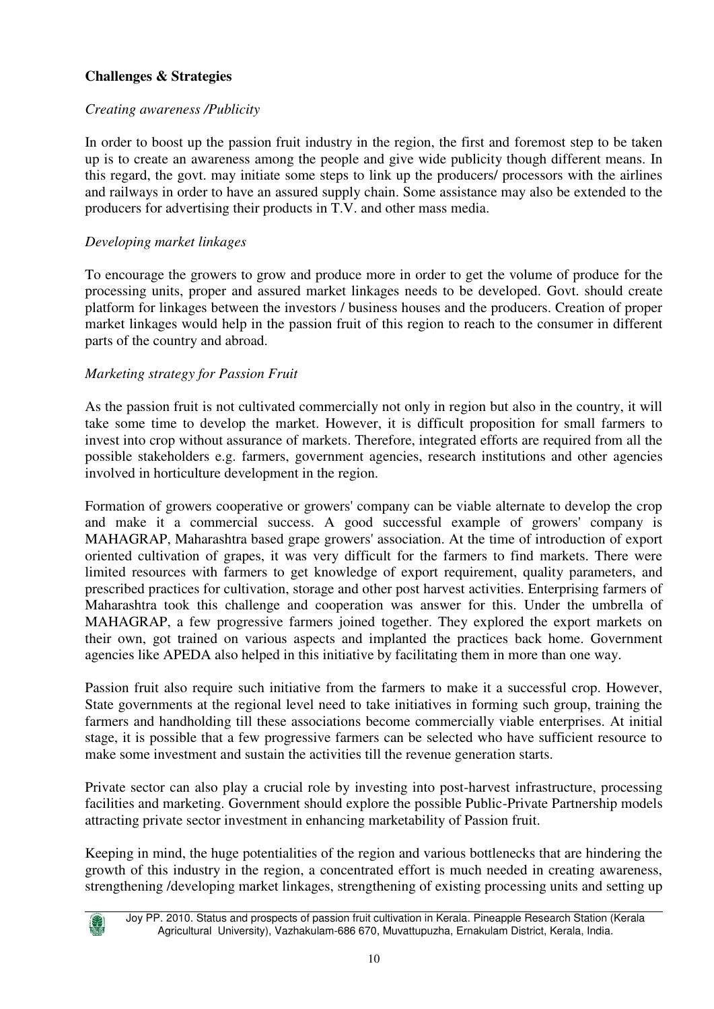### **Challenges & Strategies**

#### *Creating awareness /Publicity*

In order to boost up the passion fruit industry in the region, the first and foremost step to be taken up is to create an awareness among the people and give wide publicity though different means. In this regard, the govt. may initiate some steps to link up the producers/ processors with the airlines and railways in order to have an assured supply chain. Some assistance may also be extended to the producers for advertising their products in T.V. and other mass media.

#### *Developing market linkages*

To encourage the growers to grow and produce more in order to get the volume of produce for the processing units, proper and assured market linkages needs to be developed. Govt. should create platform for linkages between the investors / business houses and the producers. Creation of proper market linkages would help in the passion fruit of this region to reach to the consumer in different parts of the country and abroad.

#### *Marketing strategy for Passion Fruit*

As the passion fruit is not cultivated commercially not only in region but also in the country, it will take some time to develop the market. However, it is difficult proposition for small farmers to invest into crop without assurance of markets. Therefore, integrated efforts are required from all the possible stakeholders e.g. farmers, government agencies, research institutions and other agencies involved in horticulture development in the region.

Formation of growers cooperative or growers' company can be viable alternate to develop the crop and make it a commercial success. A good successful example of growers' company is MAHAGRAP, Maharashtra based grape growers' association. At the time of introduction of export oriented cultivation of grapes, it was very difficult for the farmers to find markets. There were limited resources with farmers to get knowledge of export requirement, quality parameters, and prescribed practices for cultivation, storage and other post harvest activities. Enterprising farmers of Maharashtra took this challenge and cooperation was answer for this. Under the umbrella of MAHAGRAP, a few progressive farmers joined together. They explored the export markets on their own, got trained on various aspects and implanted the practices back home. Government agencies like APEDA also helped in this initiative by facilitating them in more than one way.

Passion fruit also require such initiative from the farmers to make it a successful crop. However, State governments at the regional level need to take initiatives in forming such group, training the farmers and handholding till these associations become commercially viable enterprises. At initial stage, it is possible that a few progressive farmers can be selected who have sufficient resource to make some investment and sustain the activities till the revenue generation starts.

Private sector can also play a crucial role by investing into post-harvest infrastructure, processing facilities and marketing. Government should explore the possible Public-Private Partnership models attracting private sector investment in enhancing marketability of Passion fruit.

Keeping in mind, the huge potentialities of the region and various bottlenecks that are hindering the growth of this industry in the region, a concentrated effort is much needed in creating awareness, strengthening /developing market linkages, strengthening of existing processing units and setting up

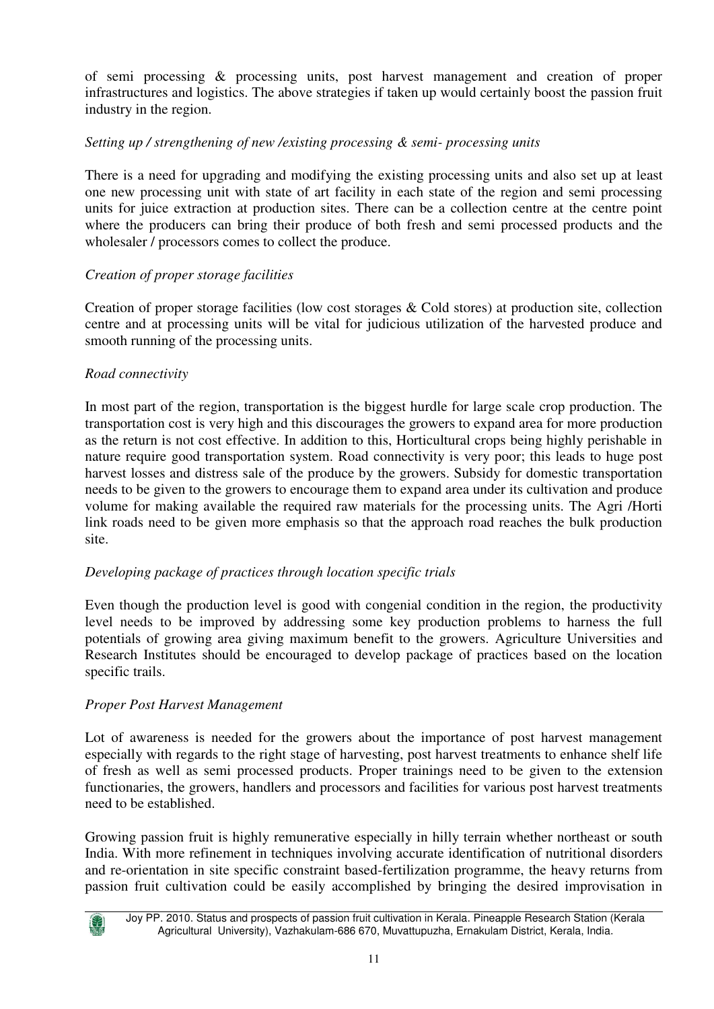of semi processing & processing units, post harvest management and creation of proper infrastructures and logistics. The above strategies if taken up would certainly boost the passion fruit industry in the region.

#### *Setting up / strengthening of new /existing processing & semi- processing units*

There is a need for upgrading and modifying the existing processing units and also set up at least one new processing unit with state of art facility in each state of the region and semi processing units for juice extraction at production sites. There can be a collection centre at the centre point where the producers can bring their produce of both fresh and semi processed products and the wholesaler / processors comes to collect the produce.

#### *Creation of proper storage facilities*

Creation of proper storage facilities (low cost storages & Cold stores) at production site, collection centre and at processing units will be vital for judicious utilization of the harvested produce and smooth running of the processing units.

#### *Road connectivity*

In most part of the region, transportation is the biggest hurdle for large scale crop production. The transportation cost is very high and this discourages the growers to expand area for more production as the return is not cost effective. In addition to this, Horticultural crops being highly perishable in nature require good transportation system. Road connectivity is very poor; this leads to huge post harvest losses and distress sale of the produce by the growers. Subsidy for domestic transportation needs to be given to the growers to encourage them to expand area under its cultivation and produce volume for making available the required raw materials for the processing units. The Agri /Horti link roads need to be given more emphasis so that the approach road reaches the bulk production site.

#### *Developing package of practices through location specific trials*

Even though the production level is good with congenial condition in the region, the productivity level needs to be improved by addressing some key production problems to harness the full potentials of growing area giving maximum benefit to the growers. Agriculture Universities and Research Institutes should be encouraged to develop package of practices based on the location specific trails.

#### *Proper Post Harvest Management*

Lot of awareness is needed for the growers about the importance of post harvest management especially with regards to the right stage of harvesting, post harvest treatments to enhance shelf life of fresh as well as semi processed products. Proper trainings need to be given to the extension functionaries, the growers, handlers and processors and facilities for various post harvest treatments need to be established.

Growing passion fruit is highly remunerative especially in hilly terrain whether northeast or south India. With more refinement in techniques involving accurate identification of nutritional disorders and re-orientation in site specific constraint based-fertilization programme, the heavy returns from passion fruit cultivation could be easily accomplished by bringing the desired improvisation in



Joy PP. 2010. Status and prospects of passion fruit cultivation in Kerala. Pineapple Research Station (Kerala Agricultural University), Vazhakulam-686 670, Muvattupuzha, Ernakulam District, Kerala, India.